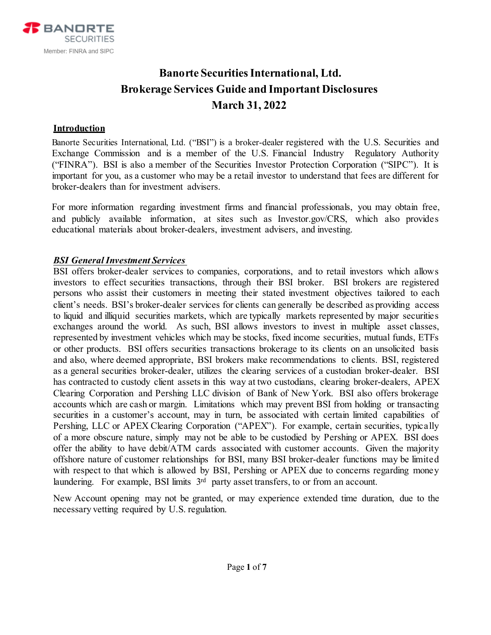

# **Banorte Securities International, Ltd. Brokerage Services Guide and Important Disclosures March 31, 2022**

### **Introduction**

Banorte Securities International, Ltd. ("BSI") is a broker-dealer registered with the U.S. Securities and Exchange Commission and is a member of the U.S. Financial Industry Regulatory Authority ("FINRA"). BSI is also a member of the Securities Investor Protection Corporation ("SIPC"). It is important for you, as a customer who may be a retail investor to understand that fees are different for broker-dealers than for investment advisers.

For more information regarding investment firms and financial professionals, you may obtain free, and publicly available information, at sites such as Investor.gov/CRS, which also provides educational materials about broker-dealers, investment advisers, and investing.

### *BSI General Investment Services*

BSI offers broker-dealer services to companies, corporations, and to retail investors which allows investors to effect securities transactions, through their BSI broker. BSI brokers are registered persons who assist their customers in meeting their stated investment objectives tailored to each client's needs. BSI's broker-dealer services for clients can generally be described as providing access to liquid and illiquid securities markets, which are typically markets represented by major securities exchanges around the world. As such, BSI allows investors to invest in multiple asset classes, represented by investment vehicles which may be stocks, fixed income securities, mutual funds, ETFs or other products. BSI offers securities transactions brokerage to its clients on an unsolicited basis and also, where deemed appropriate, BSI brokers make recommendations to clients. BSI, registered as a general securities broker-dealer, utilizes the clearing services of a custodian broker-dealer. BSI has contracted to custody client assets in this way at two custodians, clearing broker-dealers, APEX Clearing Corporation and Pershing LLC division of Bank of New York. BSI also offers brokerage accounts which are cash or margin. Limitations which may prevent BSI from holding or transacting securities in a customer's account, may in turn, be associated with certain limited capabilities of Pershing, LLC or APEX Clearing Corporation ("APEX"). For example, certain securities, typically of a more obscure nature, simply may not be able to be custodied by Pershing or APEX. BSI does offer the ability to have debit/ATM cards associated with customer accounts. Given the majority offshore nature of customer relationships for BSI, many BSI broker-dealer functions may be limited with respect to that which is allowed by BSI, Pershing or APEX due to concerns regarding money laundering. For example, BSI limits  $3<sup>rd</sup>$  party asset transfers, to or from an account.

New Account opening may not be granted, or may experience extended time duration, due to the necessary vetting required by U.S. regulation.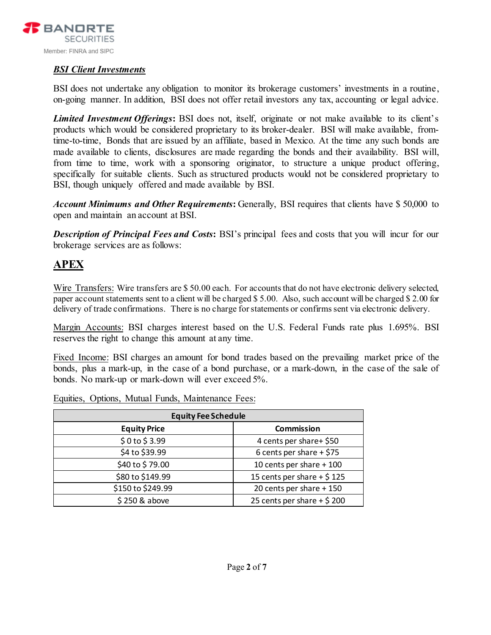

### *BSI Client Investments*

BSI does not undertake any obligation to monitor its brokerage customers' investments in a routine, on-going manner. In addition, BSI does not offer retail investors any tax, accounting or legal advice.

*Limited Investment Offerings***:** BSI does not, itself, originate or not make available to its client's products which would be considered proprietary to its broker-dealer. BSI will make available, fromtime-to-time, Bonds that are issued by an affiliate, based in Mexico. At the time any such bonds are made available to clients, disclosures are made regarding the bonds and their availability. BSI will, from time to time, work with a sponsoring originator, to structure a unique product offering, specifically for suitable clients. Such as structured products would not be considered proprietary to BSI, though uniquely offered and made available by BSI.

*Account Minimums and Other Requirements***:** Generally, BSI requires that clients have \$ 50,000 to open and maintain an account at BSI.

*Description of Principal Fees and Costs***:** BSI's principal fees and costs that you will incur for our brokerage services are as follows:

## **APEX**

Wire Transfers: Wire transfers are \$50.00 each. For accounts that do not have electronic delivery selected, paper account statements sent to a client will be charged \$ 5.00. Also, such account will be charged \$ 2.00 for delivery of trade confirmations. There is no charge for statements or confirms sent via electronic delivery.

Margin Accounts: BSI charges interest based on the U.S. Federal Funds rate plus 1.695%. BSI reserves the right to change this amount at any time.

Fixed Income: BSI charges an amount for bond trades based on the prevailing market price of the bonds, plus a mark-up, in the case of a bond purchase, or a mark-down, in the case of the sale of bonds. No mark-up or mark-down will ever exceed 5%.

Equities, Options, Mutual Funds, Maintenance Fees:

| <b>Equity Fee Schedule</b> |                             |  |
|----------------------------|-----------------------------|--|
| <b>Equity Price</b>        | <b>Commission</b>           |  |
| \$0 to \$3.99              | 4 cents per share+ \$50     |  |
| \$4 to \$39.99             | 6 cents per share $+$ \$75  |  |
| \$40 to \$79.00            | 10 cents per share + 100    |  |
| \$80 to \$149.99           | 15 cents per share + $$125$ |  |
| \$150 to \$249.99          | 20 cents per share + 150    |  |
| \$250 & above              | 25 cents per share + $$200$ |  |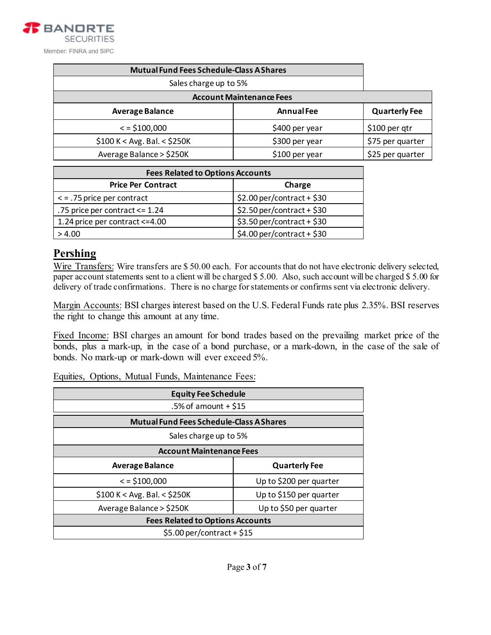| <b>Mutual Fund Fees Schedule-Class A Shares</b> |                   |                      |  |
|-------------------------------------------------|-------------------|----------------------|--|
| Sales charge up to 5%                           |                   |                      |  |
| <b>Account Maintenance Fees</b>                 |                   |                      |  |
| <b>Average Balance</b>                          | <b>Annual Fee</b> | <b>Quarterly Fee</b> |  |
| $\le$ = \$100,000                               | \$400 per year    | \$100 per qtr        |  |
| $$100 K < Avg.$ Bal. < \$250K                   | \$300 per year    | \$75 per quarter     |  |
| Average Balance > \$250K                        | \$100 per year    | \$25 per quarter     |  |

| <b>Fees Related to Options Accounts</b> |                             |  |
|-----------------------------------------|-----------------------------|--|
| <b>Price Per Contract</b>               | Charge                      |  |
| $\le$ = .75 price per contract          | $$2.00$ per/contract + \$30 |  |
| .75 price per contract $\leq$ 1.24      | $$2.50$ per/contract + \$30 |  |
| 1.24 price per contract <= 4.00         | $$3.50$ per/contract + \$30 |  |
| > 4.00                                  | $$4.00$ per/contract + \$30 |  |

### **Pershing**

Wire Transfers: Wire transfers are \$ 50.00 each. For accounts that do not have electronic delivery selected, paper account statements sent to a client will be charged \$ 5.00. Also, such account will be charged \$ 5.00 for delivery of trade confirmations. There is no charge for statements or confirms sent via electronic delivery.

Margin Accounts: BSI charges interest based on the U.S. Federal Funds rate plus 2.35%. BSI reserves the right to change this amount at any time.

Fixed Income: BSI charges an amount for bond trades based on the prevailing market price of the bonds, plus a mark-up, in the case of a bond purchase, or a mark-down, in the case of the sale of bonds. No mark-up or mark-down will ever exceed 5%.

### Equities, Options, Mutual Funds, Maintenance Fees:

| <b>Equity Fee Schedule</b>                      |                         |  |
|-------------------------------------------------|-------------------------|--|
| $.5\%$ of amount + \$15                         |                         |  |
| <b>Mutual Fund Fees Schedule-Class A Shares</b> |                         |  |
| Sales charge up to 5%                           |                         |  |
| <b>Account Maintenance Fees</b>                 |                         |  |
| <b>Average Balance</b>                          | <b>Quarterly Fee</b>    |  |
| $\le$ = \$100,000                               | Up to \$200 per quarter |  |
| $$100 K < Avg.$ Bal. < \$250K                   | Up to \$150 per quarter |  |
| Average Balance > \$250K                        | Up to \$50 per quarter  |  |
| <b>Fees Related to Options Accounts</b>         |                         |  |
| $$5.00$ per/contract + \$15                     |                         |  |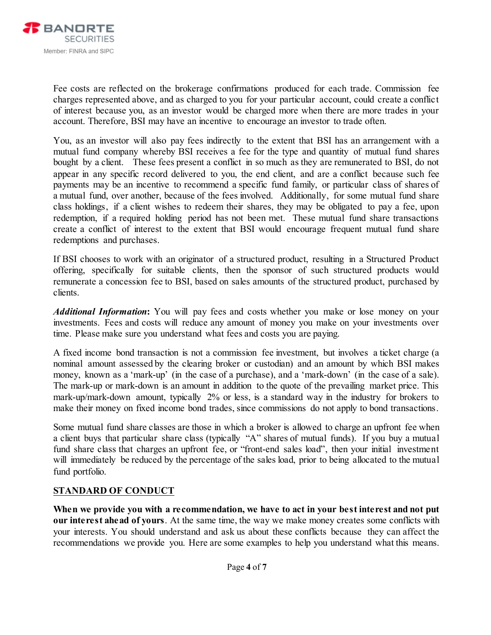

Fee costs are reflected on the brokerage confirmations produced for each trade. Commission fee charges represented above, and as charged to you for your particular account, could create a conflict of interest because you, as an investor would be charged more when there are more trades in your account. Therefore, BSI may have an incentive to encourage an investor to trade often.

You, as an investor will also pay fees indirectly to the extent that BSI has an arrangement with a mutual fund company whereby BSI receives a fee for the type and quantity of mutual fund shares bought by a client. These fees present a conflict in so much as they are remunerated to BSI, do not appear in any specific record delivered to you, the end client, and are a conflict because such fee payments may be an incentive to recommend a specific fund family, or particular class of shares of a mutual fund, over another, because of the fees involved. Additionally, for some mutual fund share class holdings, if a client wishes to redeem their shares, they may be obligated to pay a fee, upon redemption, if a required holding period has not been met. These mutual fund share transactions create a conflict of interest to the extent that BSI would encourage frequent mutual fund share redemptions and purchases.

If BSI chooses to work with an originator of a structured product, resulting in a Structured Product offering, specifically for suitable clients, then the sponsor of such structured products would remunerate a concession fee to BSI, based on sales amounts of the structured product, purchased by clients.

*Additional Information***:** You will pay fees and costs whether you make or lose money on your investments. Fees and costs will reduce any amount of money you make on your investments over time. Please make sure you understand what fees and costs you are paying.

A fixed income bond transaction is not a commission fee investment, but involves a ticket charge (a nominal amount assessed by the clearing broker or custodian) and an amount by which BSI makes money, known as a 'mark-up' (in the case of a purchase), and a 'mark-down' (in the case of a sale). The mark-up or mark-down is an amount in addition to the quote of the prevailing market price. This mark-up/mark-down amount, typically 2% or less, is a standard way in the industry for brokers to make their money on fixed income bond trades, since commissions do not apply to bond transactions.

Some mutual fund share classes are those in which a broker is allowed to charge an upfront fee when a client buys that particular share class (typically "A" shares of mutual funds). If you buy a mutual fund share class that charges an upfront fee, or "front-end sales load", then your initial investment will immediately be reduced by the percentage of the sales load, prior to being allocated to the mutual fund portfolio.

### **STANDARD OF CONDUCT**

**When we provide you with a recommendation, we have to act in your best interest and not put our interest ahead of yours**. At the same time, the way we make money creates some conflicts with your interests. You should understand and ask us about these conflicts because they can affect the recommendations we provide you. Here are some examples to help you understand what this means.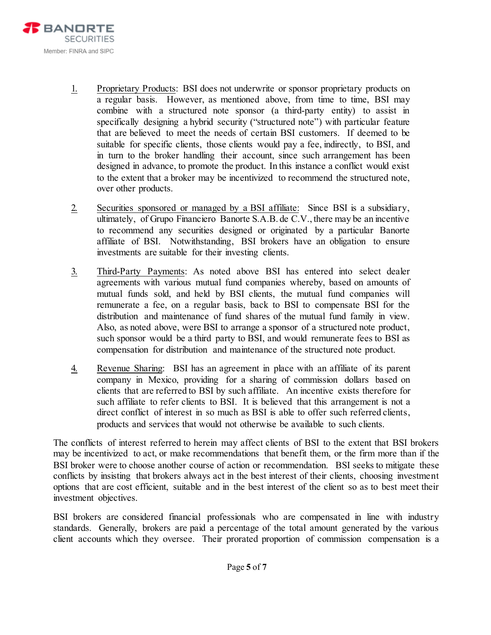

- 1. Proprietary Products: BSI does not underwrite or sponsor proprietary products on a regular basis. However, as mentioned above, from time to time, BSI may combine with a structured note sponsor (a third-party entity) to assist in specifically designing a hybrid security ("structured note") with particular feature that are believed to meet the needs of certain BSI customers. If deemed to be suitable for specific clients, those clients would pay a fee, indirectly, to BSI, and in turn to the broker handling their account, since such arrangement has been designed in advance, to promote the product. In this instance a conflict would exist to the extent that a broker may be incentivized to recommend the structured note, over other products.
- 2. Securities sponsored or managed by a BSI affiliate: Since BSI is a subsidiary, ultimately, of Grupo Financiero Banorte S.A.B. de C.V., there may be an incentive to recommend any securities designed or originated by a particular Banorte affiliate of BSI. Notwithstanding, BSI brokers have an obligation to ensure investments are suitable for their investing clients.
- 3. Third-Party Payments: As noted above BSI has entered into select dealer agreements with various mutual fund companies whereby, based on amounts of mutual funds sold, and held by BSI clients, the mutual fund companies will remunerate a fee, on a regular basis, back to BSI to compensate BSI for the distribution and maintenance of fund shares of the mutual fund family in view. Also, as noted above, were BSI to arrange a sponsor of a structured note product, such sponsor would be a third party to BSI, and would remunerate fees to BSI as compensation for distribution and maintenance of the structured note product.
- 4. Revenue Sharing: BSI has an agreement in place with an affiliate of its parent company in Mexico, providing for a sharing of commission dollars based on clients that are referred to BSI by such affiliate. An incentive exists therefore for such affiliate to refer clients to BSI. It is believed that this arrangement is not a direct conflict of interest in so much as BSI is able to offer such referred clients, products and services that would not otherwise be available to such clients.

The conflicts of interest referred to herein may affect clients of BSI to the extent that BSI brokers may be incentivized to act, or make recommendations that benefit them, or the firm more than if the BSI broker were to choose another course of action or recommendation. BSI seeks to mitigate these conflicts by insisting that brokers always act in the best interest of their clients, choosing investment options that are cost efficient, suitable and in the best interest of the client so as to best meet their investment objectives.

BSI brokers are considered financial professionals who are compensated in line with industry standards. Generally, brokers are paid a percentage of the total amount generated by the various client accounts which they oversee. Their prorated proportion of commission compensation is a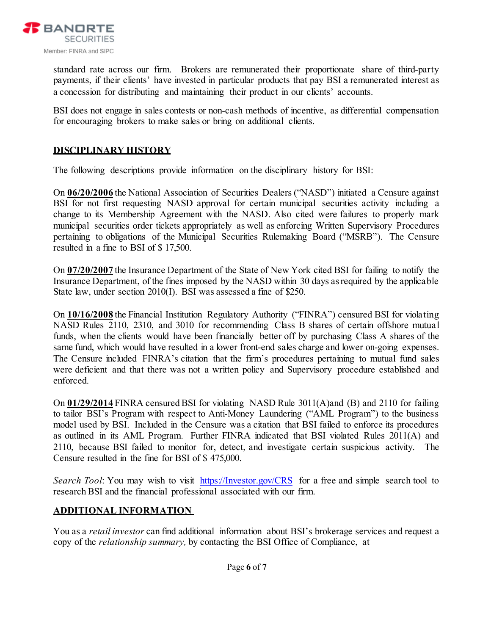

standard rate across our firm. Brokers are remunerated their proportionate share of third-party payments, if their clients' have invested in particular products that pay BSI a remunerated interest as a concession for distributing and maintaining their product in our clients' accounts.

BSI does not engage in sales contests or non-cash methods of incentive, as differential compensation for encouraging brokers to make sales or bring on additional clients.

### **DISCIPLINARY HISTORY**

The following descriptions provide information on the disciplinary history for BSI:

On **06/20/2006** the National Association of Securities Dealers ("NASD") initiated a Censure against BSI for not first requesting NASD approval for certain municipal securities activity including a change to its Membership Agreement with the NASD. Also cited were failures to properly mark municipal securities order tickets appropriately as well as enforcing Written Supervisory Procedures pertaining to obligations of the Municipal Securities Rulemaking Board ("MSRB"). The Censure resulted in a fine to BSI of \$ 17,500.

On **07/20/2007** the Insurance Department of the State of New York cited BSI for failing to notify the Insurance Department, of the fines imposed by the NASD within 30 days as required by the applicable State law, under section 2010(I). BSI was assessed a fine of \$250.

On **10/16/2008** the Financial Institution Regulatory Authority ("FINRA") censured BSI for violating NASD Rules 2110, 2310, and 3010 for recommending Class B shares of certain offshore mutual funds, when the clients would have been financially better off by purchasing Class A shares of the same fund, which would have resulted in a lower front-end sales charge and lower on-going expenses. The Censure included FINRA's citation that the firm's procedures pertaining to mutual fund sales were deficient and that there was not a written policy and Supervisory procedure established and enforced.

On **01/29/2014** FINRA censured BSI for violating NASD Rule 3011(A)and (B) and 2110 for failing to tailor BSI's Program with respect to Anti-Money Laundering ("AML Program") to the business model used by BSI. Included in the Censure was a citation that BSI failed to enforce its procedures as outlined in its AML Program. Further FINRA indicated that BSI violated Rules 2011(A) and 2110, because BSI failed to monitor for, detect, and investigate certain suspicious activity. The Censure resulted in the fine for BSI of \$ 475,000.

*Search Tool*: You may wish to visit [https://Investor.gov/CRS](https://investor.gov/CRS) for a free and simple search tool to research BSI and the financial professional associated with our firm.

### **ADDITIONAL INFORMATION**

You as a *retail investor* can find additional information about BSI's brokerage services and request a copy of the *relationship summary,* by contacting the BSI Office of Compliance, at